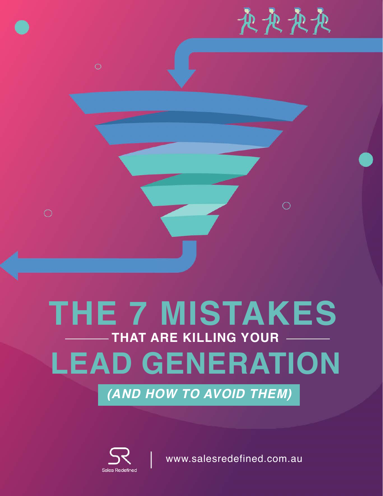丧丧丧丧

 $\bigcirc$ 

# **THE 7 MISTAKES LEAD GENERATION THAT ARE KILLING YOUR**

*(AND HOW TO AVOID THEM)*



 $\circ$ 

[www.salesredefined.com.au](https://salesredefined.com.au/)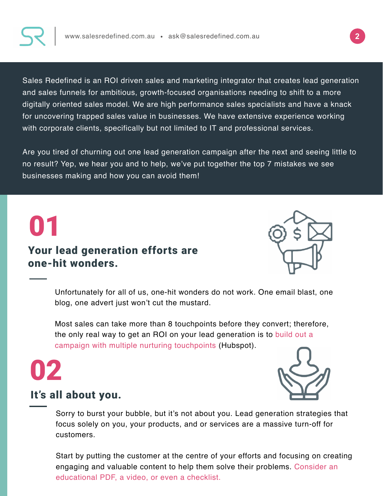

Sales Redefined is an ROI driven sales and marketing integrator that creates lead generation and sales funnels for ambitious, growth-focused organisations needing to shift to a more digitally oriented sales model. We are high performance sales specialists and have a knack for uncovering trapped sales value in businesses. We have extensive experience working with corporate clients, specifically but not limited to IT and professional services.

Are you tired of churning out one lead generation campaign after the next and seeing little to no result? Yep, we hear you and to help, we've put together the top 7 mistakes we see businesses making and how you can avoid them!

### 01 Your lead generation efforts are one-hit wonders.



Unfortunately for all of us, one-hit wonders do not work. One email blast, one blog, one advert just won't cut the mustard.

Most sales can take more than 8 touchpoints before they convert; therefore, the only real way to get an ROI on your lead generation is to build out a campaign with multiple nurturing touchpoints (Hubspot).





#### It's all about you.

Sorry to burst your bubble, but it's not about you. Lead generation strategies that focus solely on you, your products, and or services are a massive turn-off for customers.

Start by putting the customer at the centre of your efforts and focusing on creating engaging and valuable content to help them solve their problems. Consider an educational PDF, a video, or even a checklist.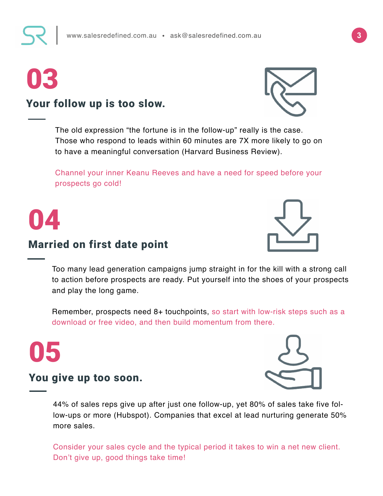# 03



Your follow up is too slow.

The old expression "the fortune is in the follow-up" really is the case. Those who respond to leads within 60 minutes are 7X more likely to go on to have a meaningful conversation (Harvard Business Review).

Channel your inner Keanu Reeves and have a need for speed before your prospects go cold!



### Married on first date point



Too many lead generation campaigns jump straight in for the kill with a strong call to action before prospects are ready. Put yourself into the shoes of your prospects and play the long game.

Remember, prospects need 8+ touchpoints, so start with low-risk steps such as a download or free video, and then build momentum from there.





44% of sales reps give up after just one follow-up, yet 80% of sales take five follow-ups or more (Hubspot). Companies that excel at lead nurturing generate 50% more sales.

Consider your sales cycle and the typical period it takes to win a net new client. Don't give up, good things take time!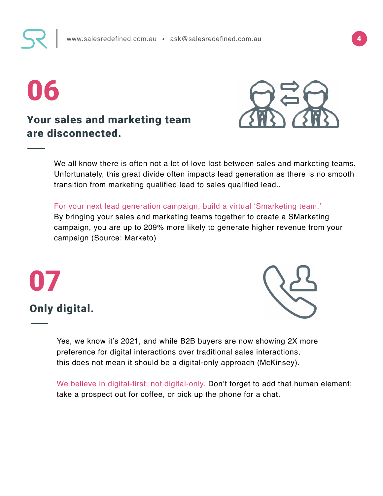# 06

#### Your sales and marketing team are disconnected.



Unfortunately, this great divide often impacts lead generation as there is no smooth transition from marketing qualified lead to sales qualified lead..

For your next lead generation campaign, build a virtual 'Smarketing team.' By bringing your sales and marketing teams together to create a SMarketing campaign, you are up to 209% more likely to generate higher revenue from your campaign (Source: Marketo)

# Only digital.

07



Yes, we know it's 2021, and while B2B buyers are now showing 2X more preference for digital interactions over traditional sales interactions, this does not mean it should be a digital-only approach (McKinsey).

We believe in digital-first, not digital-only. Don't forget to add that human element; take a prospect out for coffee, or pick up the phone for a chat.